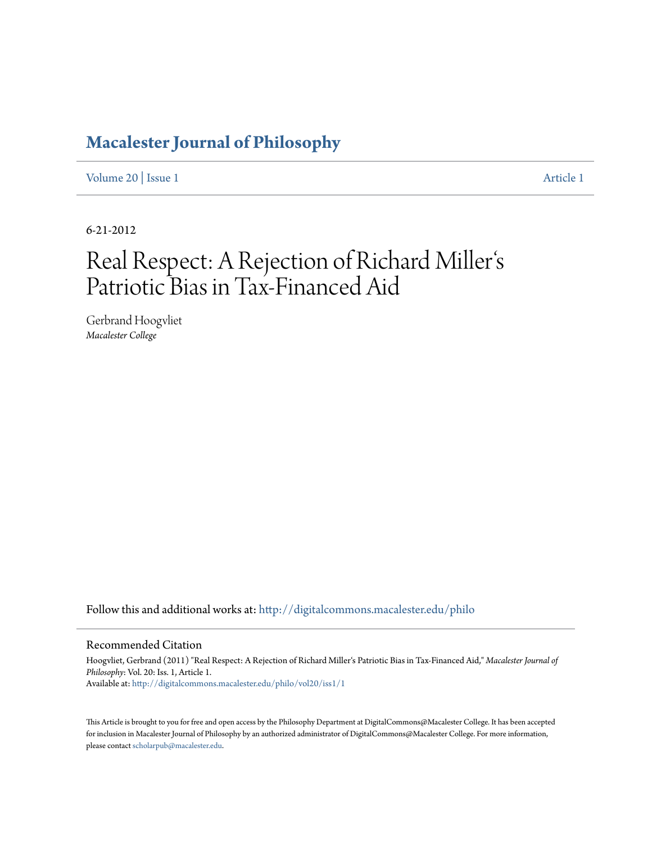# **[Macalester Journal of Philosophy](http://digitalcommons.macalester.edu/philo?utm_source=digitalcommons.macalester.edu%2Fphilo%2Fvol20%2Fiss1%2F1&utm_medium=PDF&utm_campaign=PDFCoverPages)**

[Volume 20](http://digitalcommons.macalester.edu/philo/vol20?utm_source=digitalcommons.macalester.edu%2Fphilo%2Fvol20%2Fiss1%2F1&utm_medium=PDF&utm_campaign=PDFCoverPages) | [Issue 1](http://digitalcommons.macalester.edu/philo/vol20/iss1?utm_source=digitalcommons.macalester.edu%2Fphilo%2Fvol20%2Fiss1%2F1&utm_medium=PDF&utm_campaign=PDFCoverPages) [Article 1](http://digitalcommons.macalester.edu/philo/vol20/iss1/1?utm_source=digitalcommons.macalester.edu%2Fphilo%2Fvol20%2Fiss1%2F1&utm_medium=PDF&utm_campaign=PDFCoverPages)

6-21-2012

### Real Respect: A Rejection of Richard Miller s  $\frac{1}{2}$ Patriotic Bias in Tax-Financed Aid

Gerbrand Hoogvliet *Macalester College*

Follow this and additional works at: [http://digitalcommons.macalester.edu/philo](http://digitalcommons.macalester.edu/philo?utm_source=digitalcommons.macalester.edu%2Fphilo%2Fvol20%2Fiss1%2F1&utm_medium=PDF&utm_campaign=PDFCoverPages)

#### Recommended Citation

Hoogvliet, Gerbrand (2011) "Real Respect: A Rejection of Richard Miller's Patriotic Bias in Tax-Financed Aid," *Macalester Journal of Philosophy*: Vol. 20: Iss. 1, Article 1. Available at: [http://digitalcommons.macalester.edu/philo/vol20/iss1/1](http://digitalcommons.macalester.edu/philo/vol20/iss1/1?utm_source=digitalcommons.macalester.edu%2Fphilo%2Fvol20%2Fiss1%2F1&utm_medium=PDF&utm_campaign=PDFCoverPages)

This Article is brought to you for free and open access by the Philosophy Department at DigitalCommons@Macalester College. It has been accepted for inclusion in Macalester Journal of Philosophy by an authorized administrator of DigitalCommons@Macalester College. For more information, please contact [scholarpub@macalester.edu.](mailto:scholarpub@macalester.edu)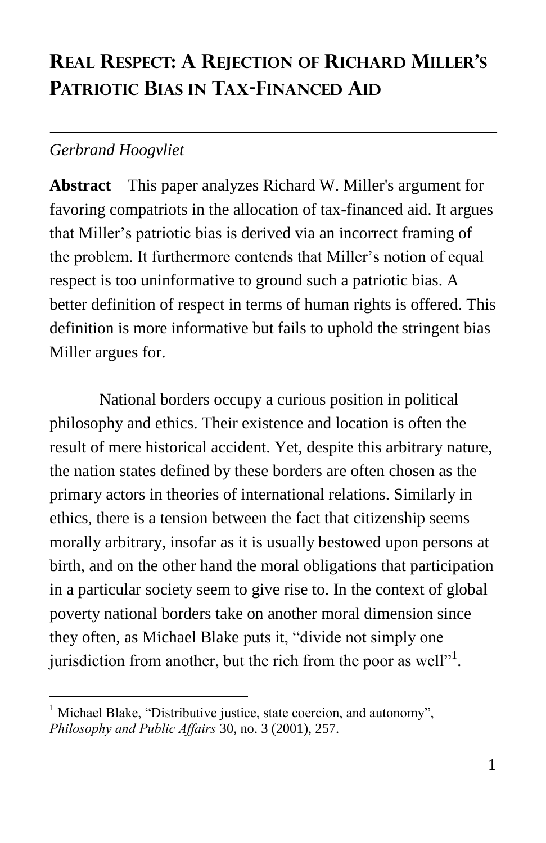## **REAL RESPECT: A REJECTION OF RICHARD MILLER'S PATRIOTIC BIAS IN TAX-FINANCED AID**

### *Gerbrand Hoogvliet*

 $\overline{a}$ 

**Abstract** This paper analyzes Richard W. Miller's argument for favoring compatriots in the allocation of tax-financed aid. It argues that Miller's patriotic bias is derived via an incorrect framing of the problem. It furthermore contends that Miller's notion of equal respect is too uninformative to ground such a patriotic bias. A better definition of respect in terms of human rights is offered. This definition is more informative but fails to uphold the stringent bias Miller argues for.

National borders occupy a curious position in political philosophy and ethics. Their existence and location is often the result of mere historical accident. Yet, despite this arbitrary nature, the nation states defined by these borders are often chosen as the primary actors in theories of international relations. Similarly in ethics, there is a tension between the fact that citizenship seems morally arbitrary, insofar as it is usually bestowed upon persons at birth, and on the other hand the moral obligations that participation in a particular society seem to give rise to. In the context of global poverty national borders take on another moral dimension since they often, as Michael Blake puts it, "divide not simply one jurisdiction from another, but the rich from the poor as well $"$ <sup>1</sup>.

Michael Blake, "Distributive justice, state coercion, and autonomy", *Philosophy and Public Affairs* 30, no. 3 (2001), 257.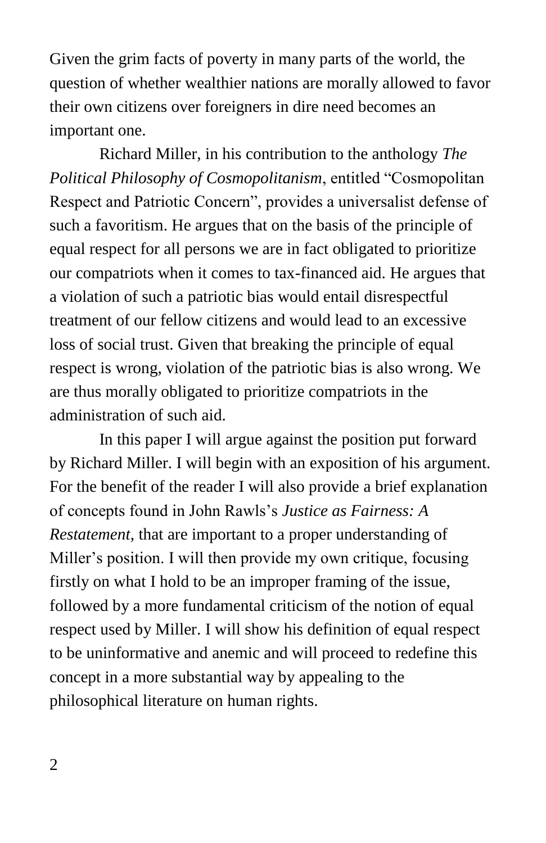Given the grim facts of poverty in many parts of the world, the question of whether wealthier nations are morally allowed to favor their own citizens over foreigners in dire need becomes an important one.

Richard Miller, in his contribution to the anthology *The Political Philosophy of Cosmopolitanism*, entitled "Cosmopolitan" Respect and Patriotic Concern", provides a universalist defense of such a favoritism. He argues that on the basis of the principle of equal respect for all persons we are in fact obligated to prioritize our compatriots when it comes to tax-financed aid. He argues that a violation of such a patriotic bias would entail disrespectful treatment of our fellow citizens and would lead to an excessive loss of social trust. Given that breaking the principle of equal respect is wrong, violation of the patriotic bias is also wrong. We are thus morally obligated to prioritize compatriots in the administration of such aid.

In this paper I will argue against the position put forward by Richard Miller. I will begin with an exposition of his argument. For the benefit of the reader I will also provide a brief explanation of concepts found in John Rawls's *Justice as Fairness: A Restatement*, that are important to a proper understanding of Miller's position. I will then provide my own critique, focusing firstly on what I hold to be an improper framing of the issue, followed by a more fundamental criticism of the notion of equal respect used by Miller. I will show his definition of equal respect to be uninformative and anemic and will proceed to redefine this concept in a more substantial way by appealing to the philosophical literature on human rights.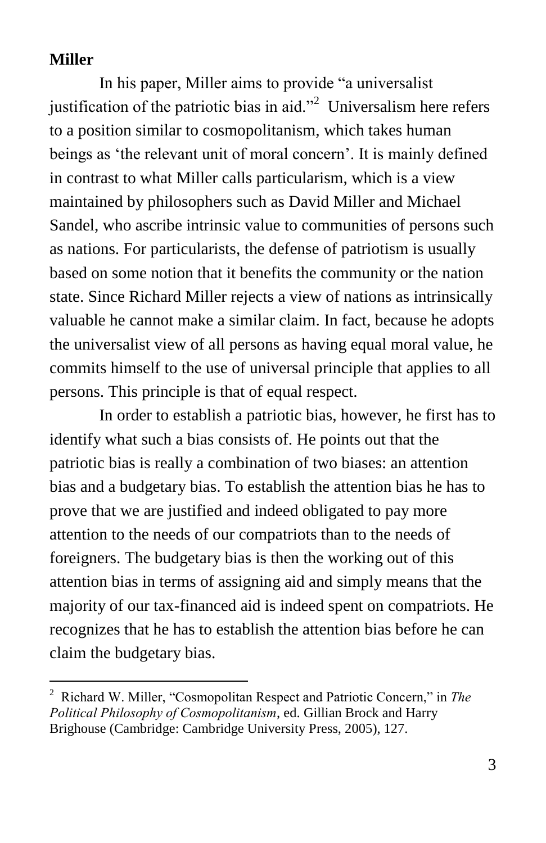#### **Miller**

 $\overline{a}$ 

In his paper, Miller aims to provide "a universalist" justification of the patriotic bias in aid. $\frac{1}{2}$  Universalism here refers to a position similar to cosmopolitanism, which takes human beings as 'the relevant unit of moral concern'. It is mainly defined in contrast to what Miller calls particularism, which is a view maintained by philosophers such as David Miller and Michael Sandel, who ascribe intrinsic value to communities of persons such as nations. For particularists, the defense of patriotism is usually based on some notion that it benefits the community or the nation state. Since Richard Miller rejects a view of nations as intrinsically valuable he cannot make a similar claim. In fact, because he adopts the universalist view of all persons as having equal moral value, he commits himself to the use of universal principle that applies to all persons. This principle is that of equal respect.

In order to establish a patriotic bias, however, he first has to identify what such a bias consists of. He points out that the patriotic bias is really a combination of two biases: an attention bias and a budgetary bias. To establish the attention bias he has to prove that we are justified and indeed obligated to pay more attention to the needs of our compatriots than to the needs of foreigners. The budgetary bias is then the working out of this attention bias in terms of assigning aid and simply means that the majority of our tax-financed aid is indeed spent on compatriots. He recognizes that he has to establish the attention bias before he can claim the budgetary bias.

<sup>&</sup>lt;sup>2</sup> Richard W. Miller, "Cosmopolitan Respect and Patriotic Concern," in *The Political Philosophy of Cosmopolitanism*, ed. Gillian Brock and Harry Brighouse (Cambridge: Cambridge University Press, 2005), 127.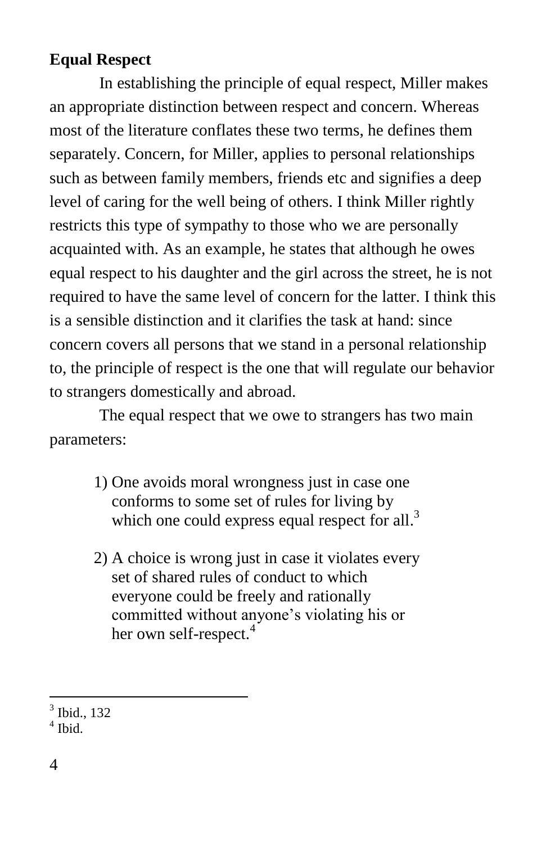#### **Equal Respect**

In establishing the principle of equal respect, Miller makes an appropriate distinction between respect and concern. Whereas most of the literature conflates these two terms, he defines them separately. Concern, for Miller, applies to personal relationships such as between family members, friends etc and signifies a deep level of caring for the well being of others. I think Miller rightly restricts this type of sympathy to those who we are personally acquainted with. As an example, he states that although he owes equal respect to his daughter and the girl across the street, he is not required to have the same level of concern for the latter. I think this is a sensible distinction and it clarifies the task at hand: since concern covers all persons that we stand in a personal relationship to, the principle of respect is the one that will regulate our behavior to strangers domestically and abroad.

The equal respect that we owe to strangers has two main parameters:

- 1) One avoids moral wrongness just in case one conforms to some set of rules for living by which one could express equal respect for all.<sup>3</sup>
- 2) A choice is wrong just in case it violates every set of shared rules of conduct to which everyone could be freely and rationally committed without anyone's violating his or her own self-respect.<sup>4</sup>

 $\overline{a}$ 3 Ibid., 132

<sup>4</sup> Ibid.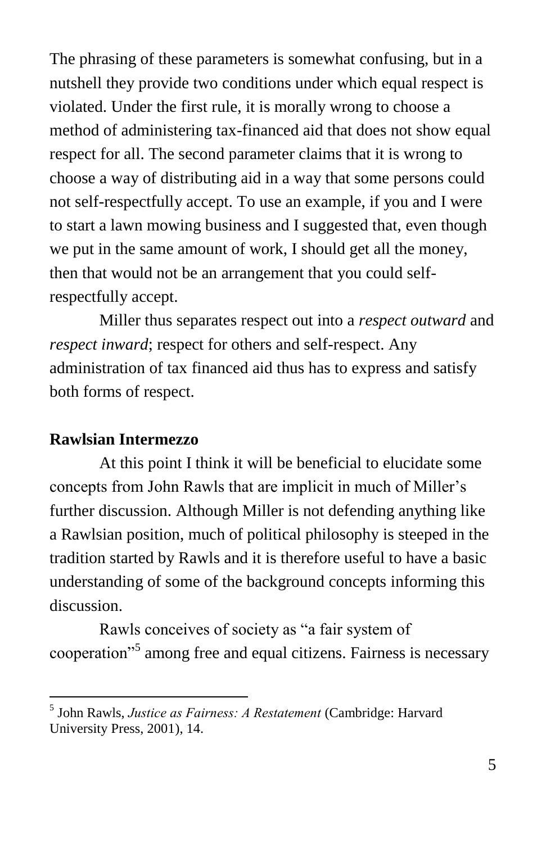The phrasing of these parameters is somewhat confusing, but in a nutshell they provide two conditions under which equal respect is violated. Under the first rule, it is morally wrong to choose a method of administering tax-financed aid that does not show equal respect for all. The second parameter claims that it is wrong to choose a way of distributing aid in a way that some persons could not self-respectfully accept. To use an example, if you and I were to start a lawn mowing business and I suggested that, even though we put in the same amount of work, I should get all the money, then that would not be an arrangement that you could selfrespectfully accept.

Miller thus separates respect out into a *respect outward* and *respect inward*; respect for others and self-respect. Any administration of tax financed aid thus has to express and satisfy both forms of respect.

#### **Rawlsian Intermezzo**

 $\overline{a}$ 

At this point I think it will be beneficial to elucidate some concepts from John Rawls that are implicit in much of Miller's further discussion. Although Miller is not defending anything like a Rawlsian position, much of political philosophy is steeped in the tradition started by Rawls and it is therefore useful to have a basic understanding of some of the background concepts informing this discussion.

Rawls conceives of society as "a fair system of cooperation<sup>5</sup> among free and equal citizens. Fairness is necessary

<sup>5</sup> John Rawls, *Justice as Fairness: A Restatement* (Cambridge: Harvard University Press, 2001), 14.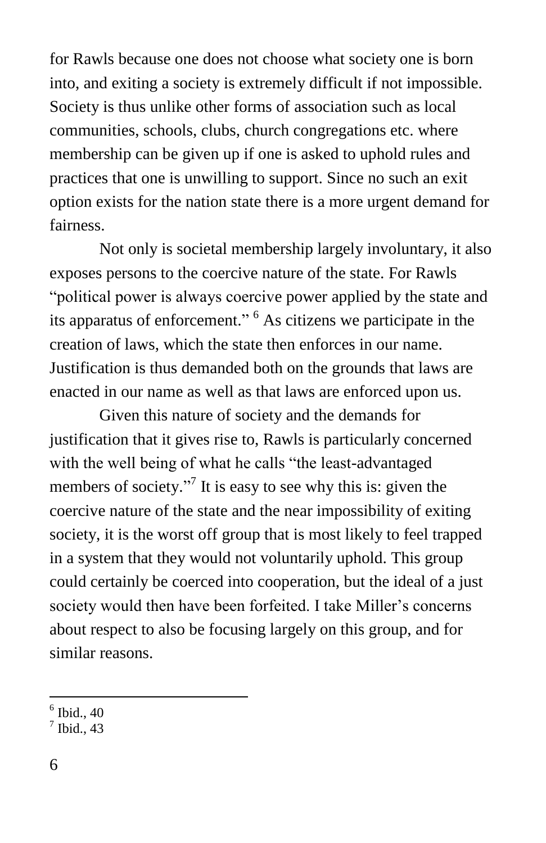for Rawls because one does not choose what society one is born into, and exiting a society is extremely difficult if not impossible. Society is thus unlike other forms of association such as local communities, schools, clubs, church congregations etc. where membership can be given up if one is asked to uphold rules and practices that one is unwilling to support. Since no such an exit option exists for the nation state there is a more urgent demand for fairness.

Not only is societal membership largely involuntary, it also exposes persons to the coercive nature of the state. For Rawls "political power is always coercive power applied by the state and its apparatus of enforcement." <sup>6</sup> As citizens we participate in the creation of laws, which the state then enforces in our name. Justification is thus demanded both on the grounds that laws are enacted in our name as well as that laws are enforced upon us.

Given this nature of society and the demands for justification that it gives rise to, Rawls is particularly concerned with the well being of what he calls "the least-advantaged" members of society."<sup>7</sup> It is easy to see why this is: given the coercive nature of the state and the near impossibility of exiting society, it is the worst off group that is most likely to feel trapped in a system that they would not voluntarily uphold. This group could certainly be coerced into cooperation, but the ideal of a just society would then have been forfeited. I take Miller's concerns about respect to also be focusing largely on this group, and for similar reasons.

 $6$  Ibid., 40

 $<sup>7</sup>$  Ibid., 43</sup>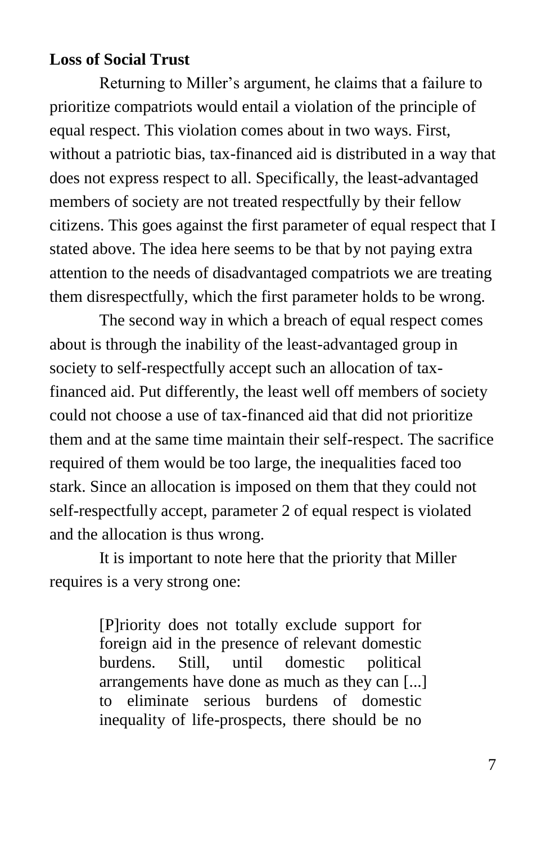#### **Loss of Social Trust**

Returning to Miller's argument, he claims that a failure to prioritize compatriots would entail a violation of the principle of equal respect. This violation comes about in two ways. First, without a patriotic bias, tax-financed aid is distributed in a way that does not express respect to all. Specifically, the least-advantaged members of society are not treated respectfully by their fellow citizens. This goes against the first parameter of equal respect that I stated above. The idea here seems to be that by not paying extra attention to the needs of disadvantaged compatriots we are treating them disrespectfully, which the first parameter holds to be wrong.

The second way in which a breach of equal respect comes about is through the inability of the least-advantaged group in society to self-respectfully accept such an allocation of taxfinanced aid. Put differently, the least well off members of society could not choose a use of tax-financed aid that did not prioritize them and at the same time maintain their self-respect. The sacrifice required of them would be too large, the inequalities faced too stark. Since an allocation is imposed on them that they could not self-respectfully accept, parameter 2 of equal respect is violated and the allocation is thus wrong.

It is important to note here that the priority that Miller requires is a very strong one:

> [P]riority does not totally exclude support for foreign aid in the presence of relevant domestic burdens. Still, until domestic political arrangements have done as much as they can [...] to eliminate serious burdens of domestic inequality of life-prospects, there should be no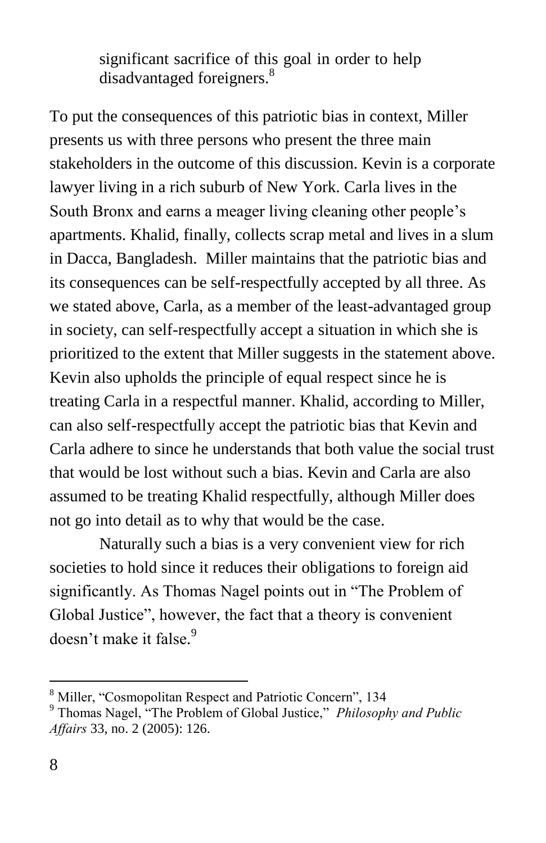significant sacrifice of this goal in order to help disadvantaged foreigners.<sup>8</sup>

To put the consequences of this patriotic bias in context, Miller presents us with three persons who present the three main stakeholders in the outcome of this discussion. Kevin is a corporate lawyer living in a rich suburb of New York. Carla lives in the South Bronx and earns a meager living cleaning other people's apartments. Khalid, finally, collects scrap metal and lives in a slum in Dacca, Bangladesh. Miller maintains that the patriotic bias and its consequences can be self-respectfully accepted by all three. As we stated above, Carla, as a member of the least-advantaged group in society, can self-respectfully accept a situation in which she is prioritized to the extent that Miller suggests in the statement above. Kevin also upholds the principle of equal respect since he is treating Carla in a respectful manner. Khalid, according to Miller, can also self-respectfully accept the patriotic bias that Kevin and Carla adhere to since he understands that both value the social trust that would be lost without such a bias. Kevin and Carla are also assumed to be treating Khalid respectfully, although Miller does not go into detail as to why that would be the case.

Naturally such a bias is a very convenient view for rich societies to hold since it reduces their obligations to foreign aid significantly. As Thomas Nagel points out in "The Problem of Global Justice", however, the fact that a theory is convenient doesn't make it false. 9

<sup>&</sup>lt;sup>8</sup> Miller, "Cosmopolitan Respect and Patriotic Concern", 134 <sup>9</sup> Thomas Nagel, "The Problem of Global Justice," *Philosophy and Public*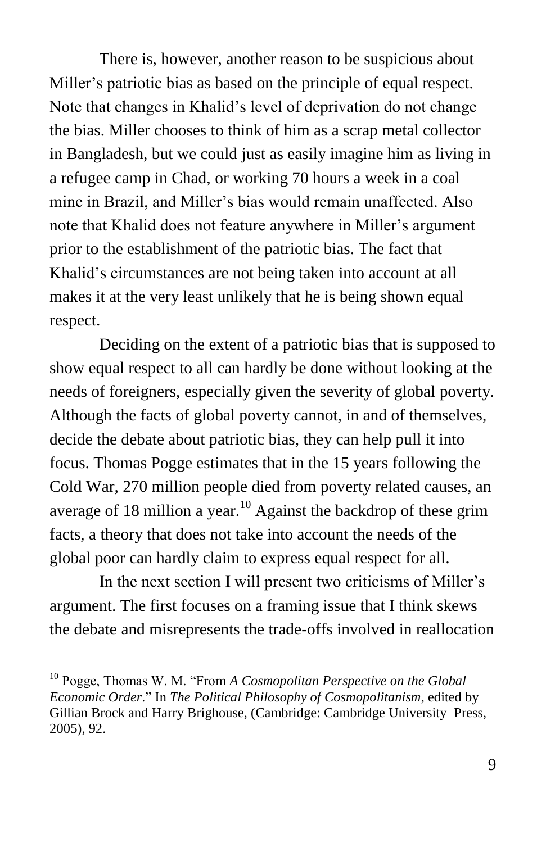There is, however, another reason to be suspicious about Miller's patriotic bias as based on the principle of equal respect. Note that changes in Khalid's level of deprivation do not change the bias. Miller chooses to think of him as a scrap metal collector in Bangladesh, but we could just as easily imagine him as living in a refugee camp in Chad, or working 70 hours a week in a coal mine in Brazil, and Miller's bias would remain unaffected. Also note that Khalid does not feature anywhere in Miller's argument prior to the establishment of the patriotic bias. The fact that Khalid's circumstances are not being taken into account at all makes it at the very least unlikely that he is being shown equal respect.

Deciding on the extent of a patriotic bias that is supposed to show equal respect to all can hardly be done without looking at the needs of foreigners, especially given the severity of global poverty. Although the facts of global poverty cannot, in and of themselves, decide the debate about patriotic bias, they can help pull it into focus. Thomas Pogge estimates that in the 15 years following the Cold War, 270 million people died from poverty related causes, an average of 18 million a year.<sup>10</sup> Against the backdrop of these grim facts, a theory that does not take into account the needs of the global poor can hardly claim to express equal respect for all.

In the next section I will present two criticisms of Miller's argument. The first focuses on a framing issue that I think skews the debate and misrepresents the trade-offs involved in reallocation

<sup>&</sup>lt;sup>10</sup> Pogge, Thomas W. M. "From *A Cosmopolitan Perspective on the Global Economic Order*.‖ In *The Political Philosophy of Cosmopolitanism*, edited by Gillian Brock and Harry Brighouse, (Cambridge: Cambridge University Press, 2005), 92.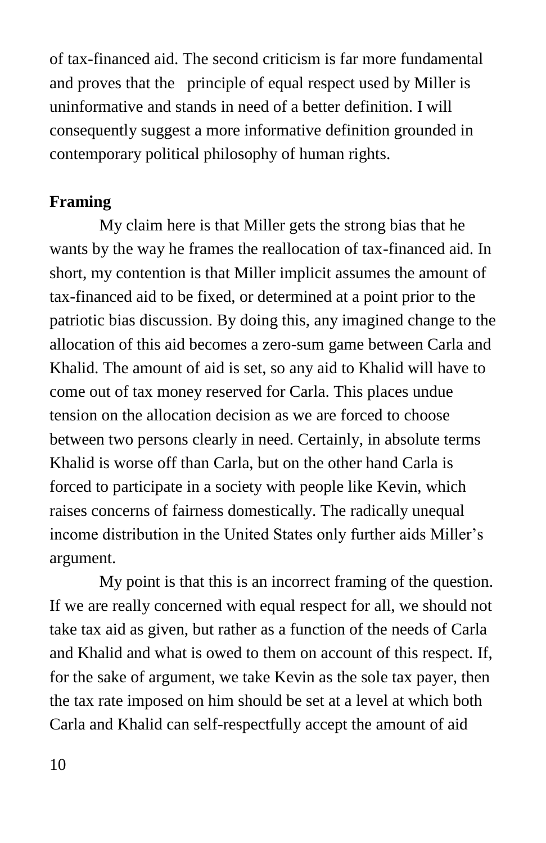of tax-financed aid. The second criticism is far more fundamental and proves that the principle of equal respect used by Miller is uninformative and stands in need of a better definition. I will consequently suggest a more informative definition grounded in contemporary political philosophy of human rights.

#### **Framing**

My claim here is that Miller gets the strong bias that he wants by the way he frames the reallocation of tax-financed aid. In short, my contention is that Miller implicit assumes the amount of tax-financed aid to be fixed, or determined at a point prior to the patriotic bias discussion. By doing this, any imagined change to the allocation of this aid becomes a zero-sum game between Carla and Khalid. The amount of aid is set, so any aid to Khalid will have to come out of tax money reserved for Carla. This places undue tension on the allocation decision as we are forced to choose between two persons clearly in need. Certainly, in absolute terms Khalid is worse off than Carla, but on the other hand Carla is forced to participate in a society with people like Kevin, which raises concerns of fairness domestically. The radically unequal income distribution in the United States only further aids Miller's argument.

My point is that this is an incorrect framing of the question. If we are really concerned with equal respect for all, we should not take tax aid as given, but rather as a function of the needs of Carla and Khalid and what is owed to them on account of this respect. If, for the sake of argument, we take Kevin as the sole tax payer, then the tax rate imposed on him should be set at a level at which both Carla and Khalid can self-respectfully accept the amount of aid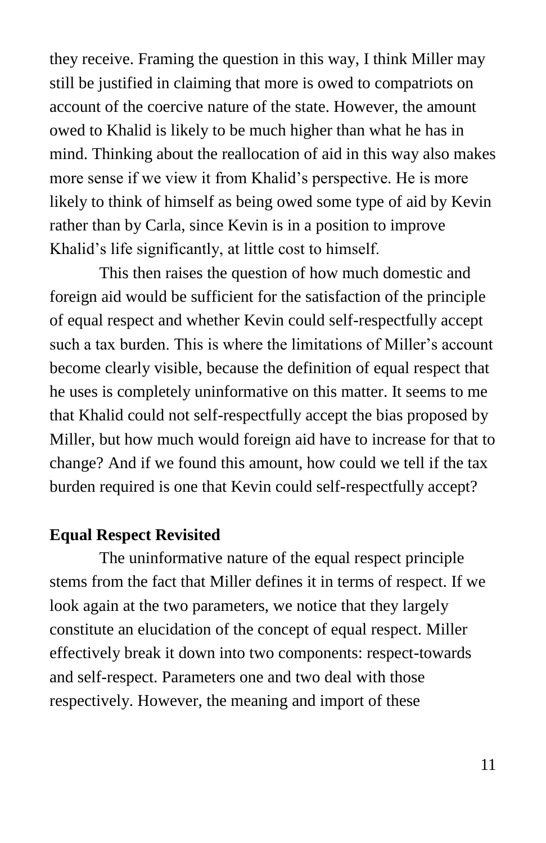they receive. Framing the question in this way, I think Miller may still be justified in claiming that more is owed to compatriots on account of the coercive nature of the state. However, the amount owed to Khalid is likely to be much higher than what he has in mind. Thinking about the reallocation of aid in this way also makes more sense if we view it from Khalid's perspective. He is more likely to think of himself as being owed some type of aid by Kevin rather than by Carla, since Kevin is in a position to improve Khalid's life significantly, at little cost to himself.

This then raises the question of how much domestic and foreign aid would be sufficient for the satisfaction of the principle of equal respect and whether Kevin could self-respectfully accept such a tax burden. This is where the limitations of Miller's account become clearly visible, because the definition of equal respect that he uses is completely uninformative on this matter. It seems to me that Khalid could not self-respectfully accept the bias proposed by Miller, but how much would foreign aid have to increase for that to change? And if we found this amount, how could we tell if the tax burden required is one that Kevin could self-respectfully accept?

#### **Equal Respect Revisited**

The uninformative nature of the equal respect principle stems from the fact that Miller defines it in terms of respect. If we look again at the two parameters, we notice that they largely constitute an elucidation of the concept of equal respect. Miller effectively break it down into two components: respect-towards and self-respect. Parameters one and two deal with those respectively. However, the meaning and import of these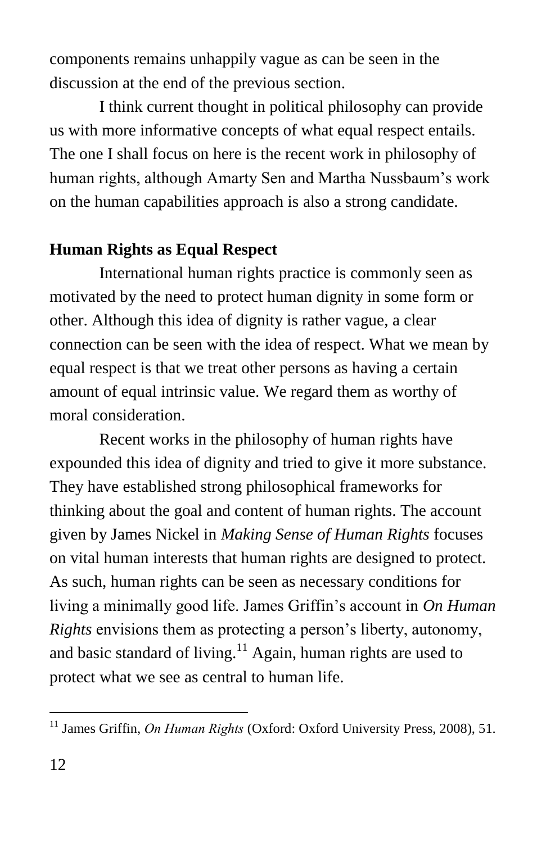components remains unhappily vague as can be seen in the discussion at the end of the previous section.

I think current thought in political philosophy can provide us with more informative concepts of what equal respect entails. The one I shall focus on here is the recent work in philosophy of human rights, although Amarty Sen and Martha Nussbaum's work on the human capabilities approach is also a strong candidate.

#### **Human Rights as Equal Respect**

International human rights practice is commonly seen as motivated by the need to protect human dignity in some form or other. Although this idea of dignity is rather vague, a clear connection can be seen with the idea of respect. What we mean by equal respect is that we treat other persons as having a certain amount of equal intrinsic value. We regard them as worthy of moral consideration.

Recent works in the philosophy of human rights have expounded this idea of dignity and tried to give it more substance. They have established strong philosophical frameworks for thinking about the goal and content of human rights. The account given by James Nickel in *Making Sense of Human Rights* focuses on vital human interests that human rights are designed to protect. As such, human rights can be seen as necessary conditions for living a minimally good life. James Griffin's account in *On Human Rights* envisions them as protecting a person's liberty, autonomy, and basic standard of living.<sup>11</sup> Again, human rights are used to protect what we see as central to human life.

<sup>&</sup>lt;sup>11</sup> James Griffin, *On Human Rights* (Oxford: Oxford University Press, 2008), 51.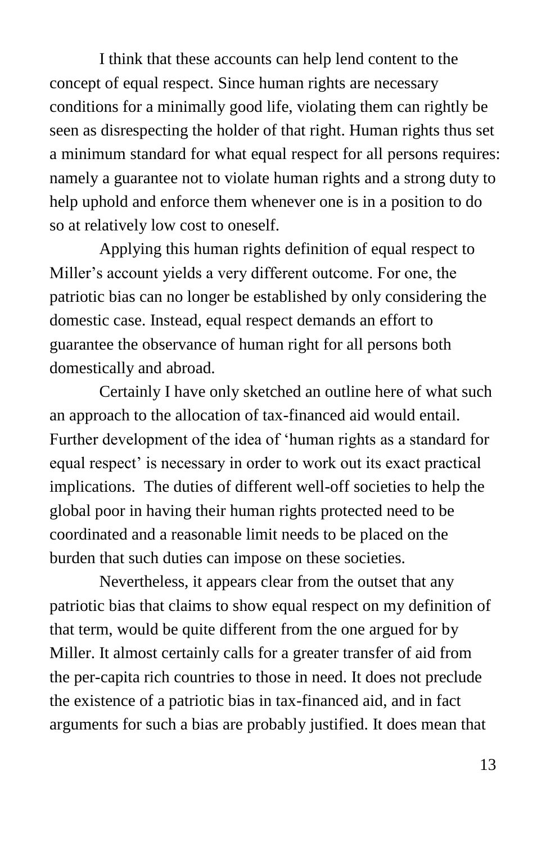I think that these accounts can help lend content to the concept of equal respect. Since human rights are necessary conditions for a minimally good life, violating them can rightly be seen as disrespecting the holder of that right. Human rights thus set a minimum standard for what equal respect for all persons requires: namely a guarantee not to violate human rights and a strong duty to help uphold and enforce them whenever one is in a position to do so at relatively low cost to oneself.

Applying this human rights definition of equal respect to Miller's account yields a very different outcome. For one, the patriotic bias can no longer be established by only considering the domestic case. Instead, equal respect demands an effort to guarantee the observance of human right for all persons both domestically and abroad.

Certainly I have only sketched an outline here of what such an approach to the allocation of tax-financed aid would entail. Further development of the idea of 'human rights as a standard for equal respect' is necessary in order to work out its exact practical implications. The duties of different well-off societies to help the global poor in having their human rights protected need to be coordinated and a reasonable limit needs to be placed on the burden that such duties can impose on these societies.

Nevertheless, it appears clear from the outset that any patriotic bias that claims to show equal respect on my definition of that term, would be quite different from the one argued for by Miller. It almost certainly calls for a greater transfer of aid from the per-capita rich countries to those in need. It does not preclude the existence of a patriotic bias in tax-financed aid, and in fact arguments for such a bias are probably justified. It does mean that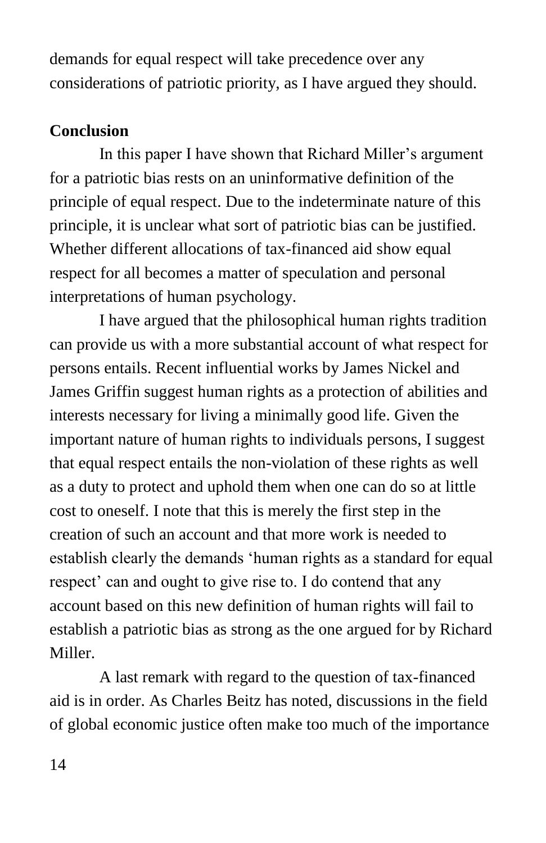demands for equal respect will take precedence over any considerations of patriotic priority, as I have argued they should.

#### **Conclusion**

In this paper I have shown that Richard Miller's argument for a patriotic bias rests on an uninformative definition of the principle of equal respect. Due to the indeterminate nature of this principle, it is unclear what sort of patriotic bias can be justified. Whether different allocations of tax-financed aid show equal respect for all becomes a matter of speculation and personal interpretations of human psychology.

I have argued that the philosophical human rights tradition can provide us with a more substantial account of what respect for persons entails. Recent influential works by James Nickel and James Griffin suggest human rights as a protection of abilities and interests necessary for living a minimally good life. Given the important nature of human rights to individuals persons, I suggest that equal respect entails the non-violation of these rights as well as a duty to protect and uphold them when one can do so at little cost to oneself. I note that this is merely the first step in the creation of such an account and that more work is needed to establish clearly the demands 'human rights as a standard for equal respect' can and ought to give rise to. I do contend that any account based on this new definition of human rights will fail to establish a patriotic bias as strong as the one argued for by Richard Miller.

A last remark with regard to the question of tax-financed aid is in order. As Charles Beitz has noted, discussions in the field of global economic justice often make too much of the importance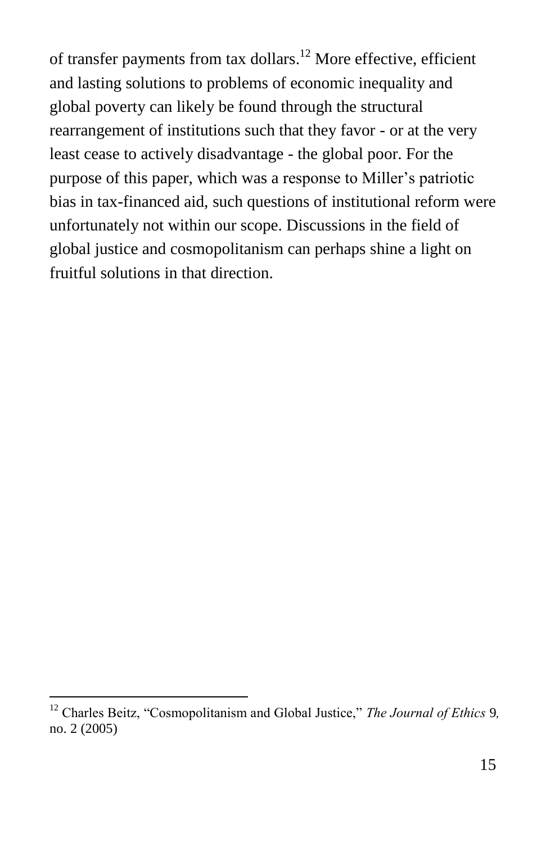of transfer payments from tax dollars.<sup>12</sup> More effective, efficient and lasting solutions to problems of economic inequality and global poverty can likely be found through the structural rearrangement of institutions such that they favor - or at the very least cease to actively disadvantage - the global poor. For the purpose of this paper, which was a response to Miller's patriotic bias in tax-financed aid, such questions of institutional reform were unfortunately not within our scope. Discussions in the field of global justice and cosmopolitanism can perhaps shine a light on fruitful solutions in that direction.

<sup>&</sup>lt;sup>12</sup> Charles Beitz, "Cosmopolitanism and Global Justice," *The Journal of Ethics* 9*,* no. 2 (2005)